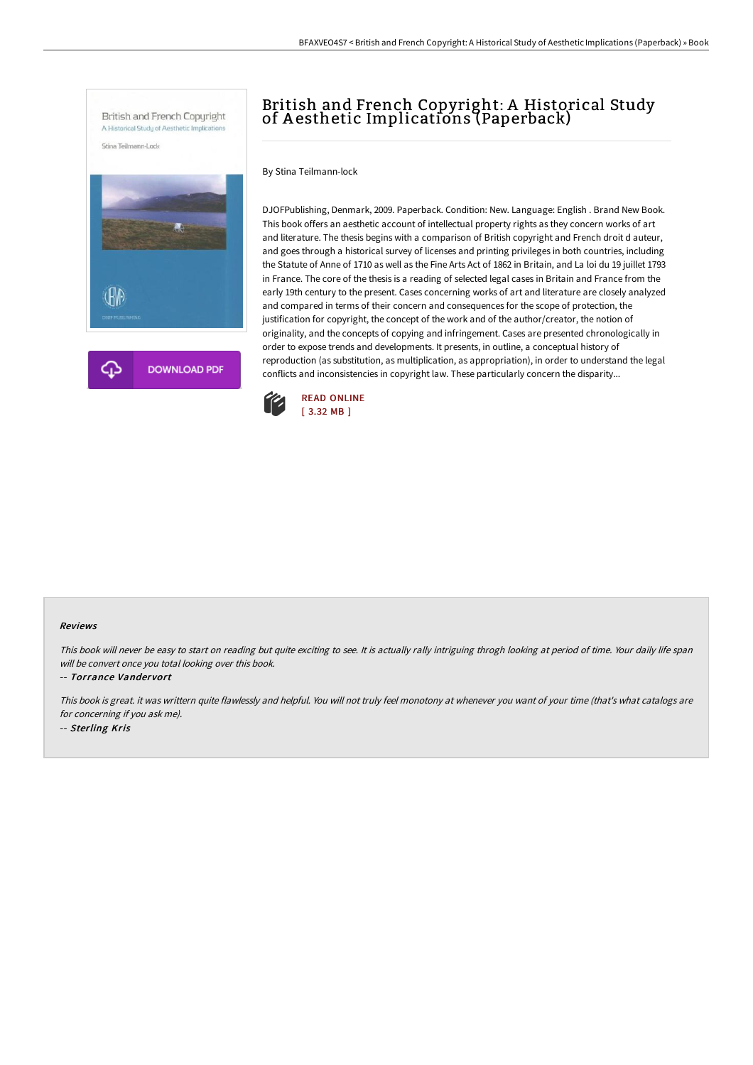

# British and French Copyright: A Historical Study of A esthetic Implications (Paperback)

By Stina Teilmann-lock

DJOFPublishing, Denmark, 2009. Paperback. Condition: New. Language: English . Brand New Book. This book offers an aesthetic account of intellectual property rights as they concern works of art and literature. The thesis begins with a comparison of British copyright and French droit d auteur, and goes through a historical survey of licenses and printing privileges in both countries, including the Statute of Anne of 1710 as well as the Fine Arts Act of 1862 in Britain, and La loi du 19 juillet 1793 in France. The core of the thesis is a reading of selected legal cases in Britain and France from the early 19th century to the present. Cases concerning works of art and literature are closely analyzed and compared in terms of their concern and consequences for the scope of protection, the justification for copyright, the concept of the work and of the author/creator, the notion of originality, and the concepts of copying and infringement. Cases are presented chronologically in order to expose trends and developments. It presents, in outline, a conceptual history of reproduction (as substitution, as multiplication, as appropriation), in order to understand the legal conflicts and inconsistencies in copyright law. These particularly concern the disparity...



#### Reviews

This book will never be easy to start on reading but quite exciting to see. It is actually rally intriguing throgh looking at period of time. Your daily life span will be convert once you total looking over this book.

-- Torrance Vandervort

This book is great. it was writtern quite flawlessly and helpful. You will not truly feel monotony at whenever you want of your time (that's what catalogs are for concerning if you ask me). -- Sterling Kris